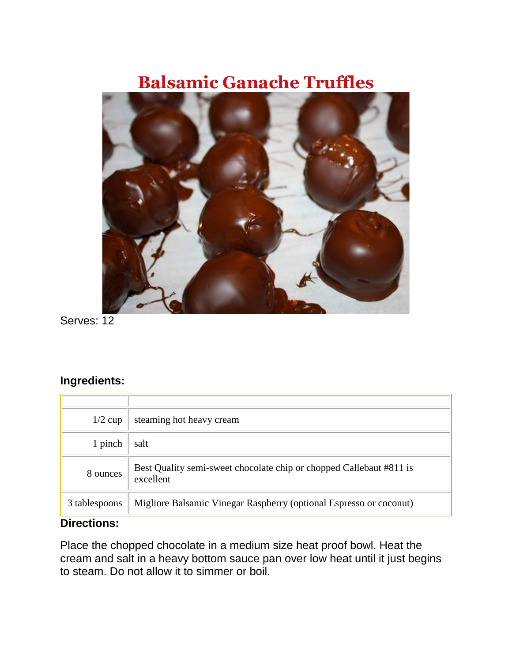## **Balsamic Ganache Truffles**



Serves: 12

## **Ingredients:**

| $1/2$ cup     | steaming hot heavy cream                                                         |
|---------------|----------------------------------------------------------------------------------|
| 1 pinch       | salt                                                                             |
| 8 ounces      | Best Quality semi-sweet chocolate chip or chopped Callebaut #811 is<br>excellent |
| 3 tablespoons | Migliore Balsamic Vinegar Raspberry (optional Espresso or coconut)               |

## **Directions:**

Place the chopped chocolate in a medium size heat proof bowl. Heat the cream and salt in a heavy bottom sauce pan over low heat until it just begins to steam. Do not allow it to simmer or boil.